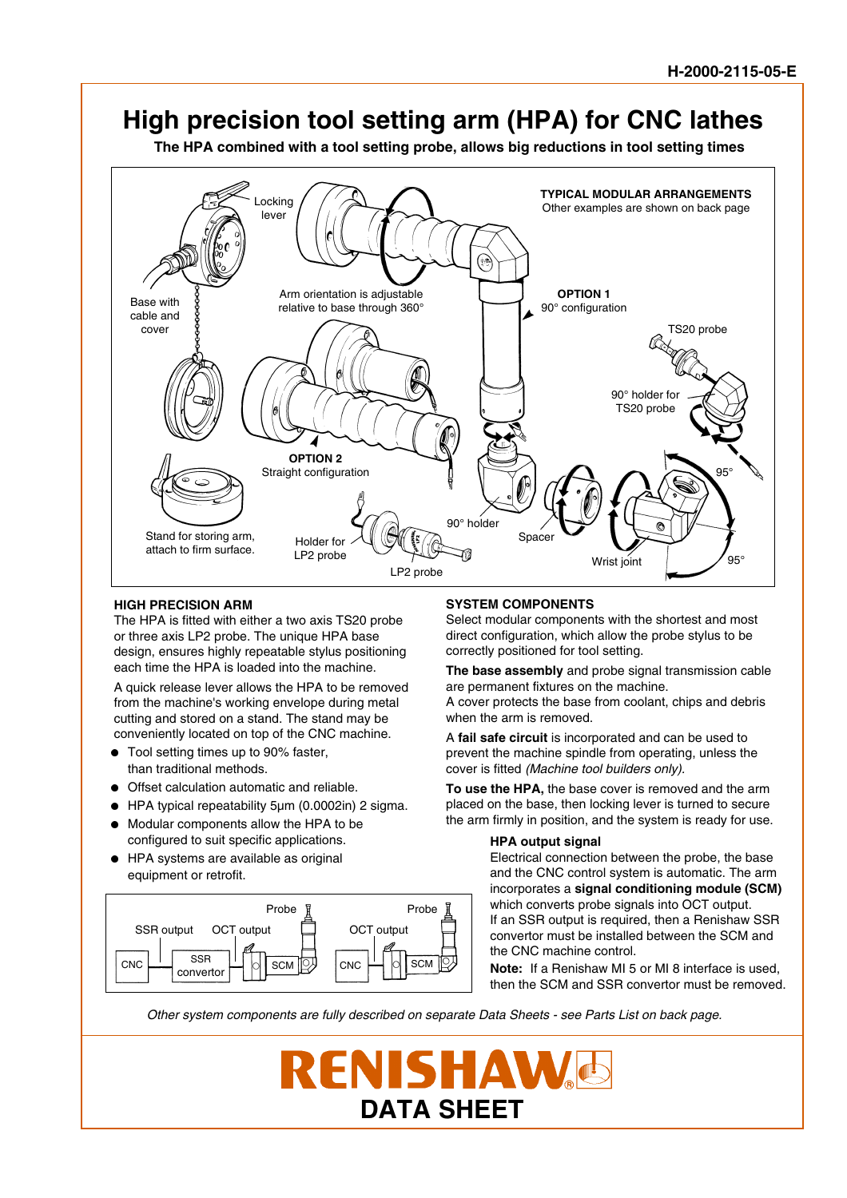

### **HIGH PRECISION ARM**

The HPA is fitted with either a two axis TS20 probe or three axis LP2 probe. The unique HPA base design, ensures highly repeatable stylus positioning each time the HPA is loaded into the machine.

A quick release lever allows the HPA to be removed from the machine's working envelope during metal cutting and stored on a stand. The stand may be conveniently located on top of the CNC machine.

- Tool setting times up to 90% faster, than traditional methods.
- **.** Offset calculation automatic and reliable.
- HPA typical repeatability 5µm (0.0002in) 2 sigma.<br>■ Modular components allow the HPA to be
- Modular components allow the HPA to be configured to suit specific applications.
- <sup>l</sup> HPA systems are available as original equipment or retrofit.



## **SYSTEM COMPONENTS**

Select modular components with the shortest and most direct configuration, which allow the probe stylus to be correctly positioned for tool setting.

**The base assembly** and probe signal transmission cable are permanent fixtures on the machine.

A cover protects the base from coolant, chips and debris when the arm is removed.

A **fail safe circuit** is incorporated and can be used to prevent the machine spindle from operating, unless the cover is fitted (Machine tool builders only).

**To use the HPA,** the base cover is removed and the arm placed on the base, then locking lever is turned to secure the arm firmly in position, and the system is ready for use.

#### **HPA output signal**

Electrical connection between the probe, the base and the CNC control system is automatic. The arm incorporates a **signal conditioning module (SCM)** which converts probe signals into OCT output. If an SSR output is required, then a Renishaw SSR convertor must be installed between the SCM and the CNC machine control.

**Note:** If a Renishaw MI 5 or MI 8 interface is used, then the SCM and SSR convertor must be removed.

Other system components are fully described on separate Data Sheets - see Parts List on back page.

**RENISHA DATA SHEET**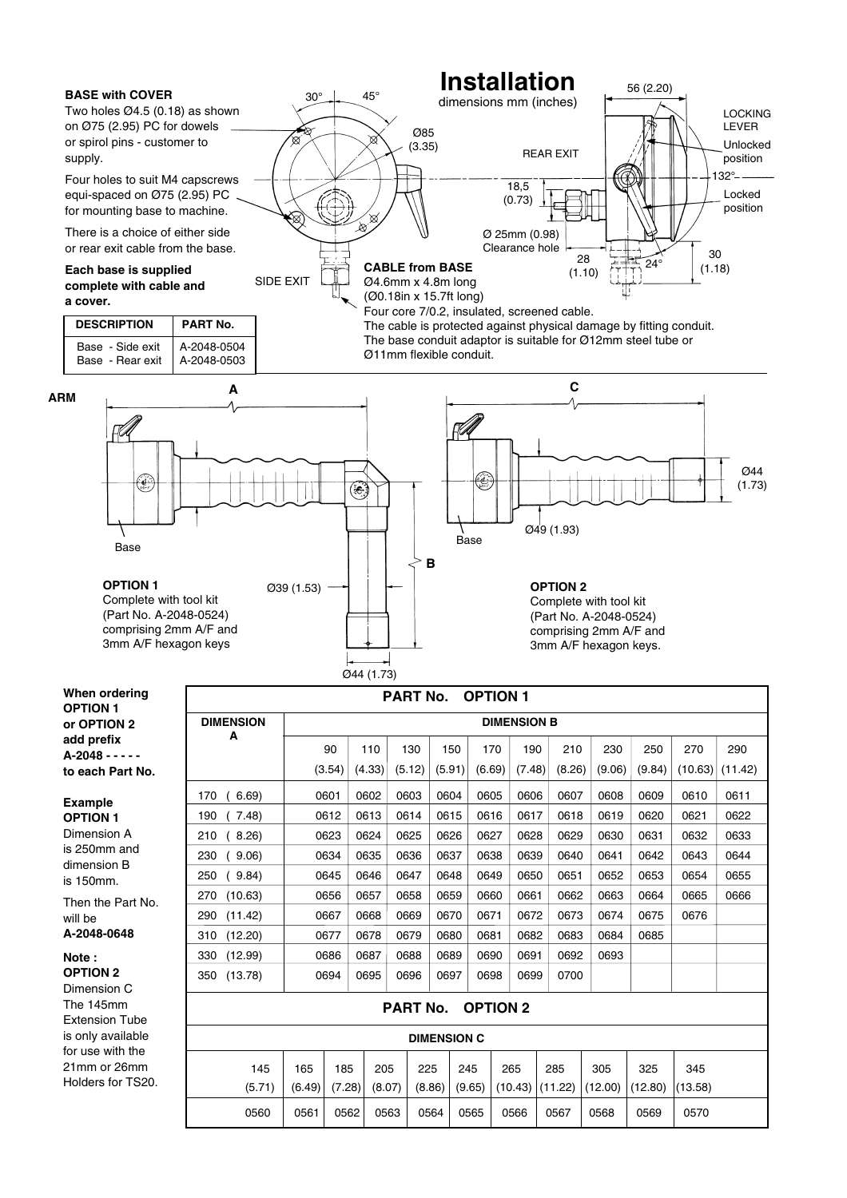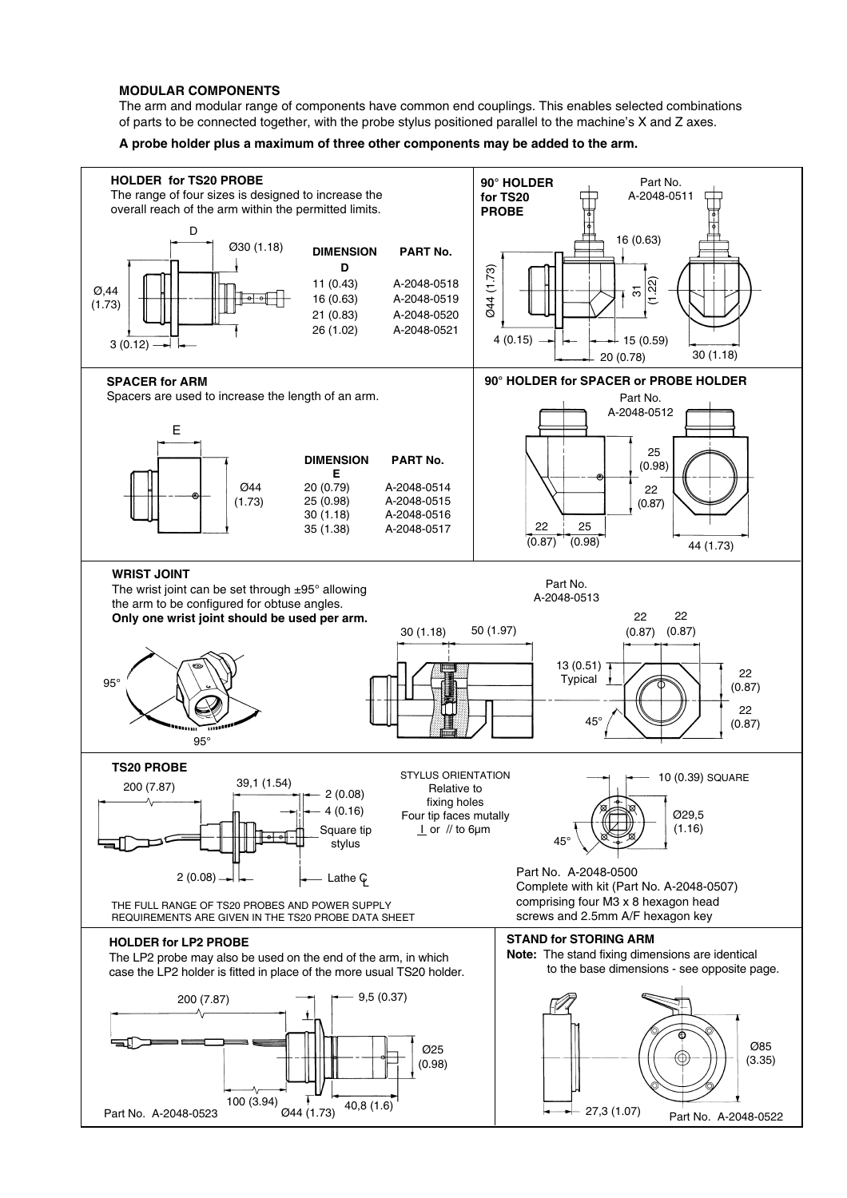## **MODULAR COMPONENTS**

The arm and modular range of components have common end couplings. This enables selected combinations of parts to be connected together, with the probe stylus positioned parallel to the machine's X and Z axes.

**A probe holder plus a maximum of three other components may be added to the arm.**